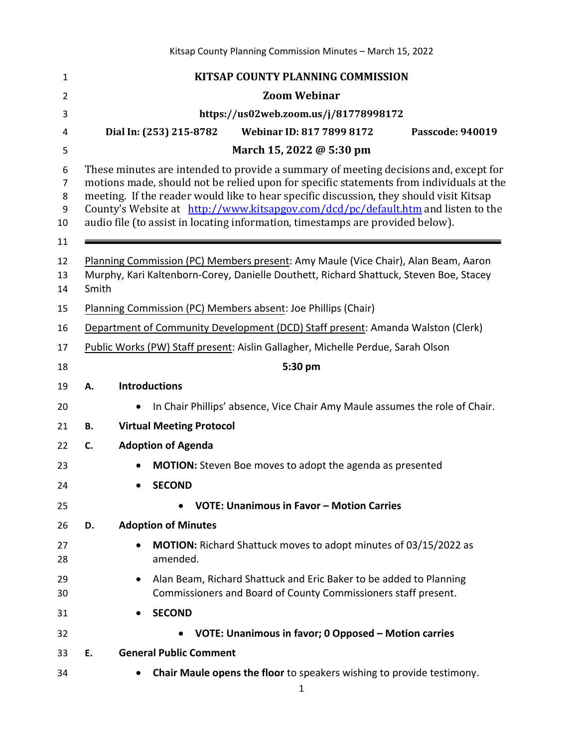| $\mathbf{1}$                              | KITSAP COUNTY PLANNING COMMISSION                                                                                                                                                                                                                                                                                                                                                                                                                 |  |  |
|-------------------------------------------|---------------------------------------------------------------------------------------------------------------------------------------------------------------------------------------------------------------------------------------------------------------------------------------------------------------------------------------------------------------------------------------------------------------------------------------------------|--|--|
| $\overline{2}$                            | <b>Zoom Webinar</b>                                                                                                                                                                                                                                                                                                                                                                                                                               |  |  |
| 3                                         | https://us02web.zoom.us/j/81778998172                                                                                                                                                                                                                                                                                                                                                                                                             |  |  |
| 4                                         | <b>Webinar ID: 817 7899 8172</b><br>Dial In: (253) 215-8782<br>Passcode: 940019                                                                                                                                                                                                                                                                                                                                                                   |  |  |
| 5                                         | March 15, 2022 @ 5:30 pm                                                                                                                                                                                                                                                                                                                                                                                                                          |  |  |
| 6<br>$\overline{7}$<br>8<br>9<br>10<br>11 | These minutes are intended to provide a summary of meeting decisions and, except for<br>motions made, should not be relied upon for specific statements from individuals at the<br>meeting. If the reader would like to hear specific discussion, they should visit Kitsap<br>County's Website at http://www.kitsapgov.com/dcd/pc/default.htm and listen to the<br>audio file (to assist in locating information, timestamps are provided below). |  |  |
| 12                                        | Planning Commission (PC) Members present: Amy Maule (Vice Chair), Alan Beam, Aaron                                                                                                                                                                                                                                                                                                                                                                |  |  |
| 13<br>14                                  | Murphy, Kari Kaltenborn-Corey, Danielle Douthett, Richard Shattuck, Steven Boe, Stacey<br>Smith                                                                                                                                                                                                                                                                                                                                                   |  |  |
| 15                                        | Planning Commission (PC) Members absent: Joe Phillips (Chair)                                                                                                                                                                                                                                                                                                                                                                                     |  |  |
| 16                                        | Department of Community Development (DCD) Staff present: Amanda Walston (Clerk)                                                                                                                                                                                                                                                                                                                                                                   |  |  |
| 17                                        | Public Works (PW) Staff present: Aislin Gallagher, Michelle Perdue, Sarah Olson                                                                                                                                                                                                                                                                                                                                                                   |  |  |
| 18                                        | 5:30 pm                                                                                                                                                                                                                                                                                                                                                                                                                                           |  |  |
| 19                                        | <b>Introductions</b><br>А.                                                                                                                                                                                                                                                                                                                                                                                                                        |  |  |
| 20                                        | In Chair Phillips' absence, Vice Chair Amy Maule assumes the role of Chair.                                                                                                                                                                                                                                                                                                                                                                       |  |  |
| 21                                        | <b>Virtual Meeting Protocol</b><br>В.                                                                                                                                                                                                                                                                                                                                                                                                             |  |  |
| 22                                        | C.<br><b>Adoption of Agenda</b>                                                                                                                                                                                                                                                                                                                                                                                                                   |  |  |
| 23                                        | <b>MOTION:</b> Steven Boe moves to adopt the agenda as presented                                                                                                                                                                                                                                                                                                                                                                                  |  |  |
| 24                                        | <b>SECOND</b>                                                                                                                                                                                                                                                                                                                                                                                                                                     |  |  |
| 25                                        | <b>VOTE: Unanimous in Favor - Motion Carries</b>                                                                                                                                                                                                                                                                                                                                                                                                  |  |  |
| 26                                        | D.<br><b>Adoption of Minutes</b>                                                                                                                                                                                                                                                                                                                                                                                                                  |  |  |
| 27<br>28                                  | <b>MOTION:</b> Richard Shattuck moves to adopt minutes of 03/15/2022 as<br>amended.                                                                                                                                                                                                                                                                                                                                                               |  |  |
| 29<br>30                                  | Alan Beam, Richard Shattuck and Eric Baker to be added to Planning<br>Commissioners and Board of County Commissioners staff present.                                                                                                                                                                                                                                                                                                              |  |  |
| 31                                        | <b>SECOND</b>                                                                                                                                                                                                                                                                                                                                                                                                                                     |  |  |
| 32                                        | VOTE: Unanimous in favor; 0 Opposed - Motion carries                                                                                                                                                                                                                                                                                                                                                                                              |  |  |
| 33                                        | <b>General Public Comment</b><br>Ε.                                                                                                                                                                                                                                                                                                                                                                                                               |  |  |
| 34                                        | Chair Maule opens the floor to speakers wishing to provide testimony.                                                                                                                                                                                                                                                                                                                                                                             |  |  |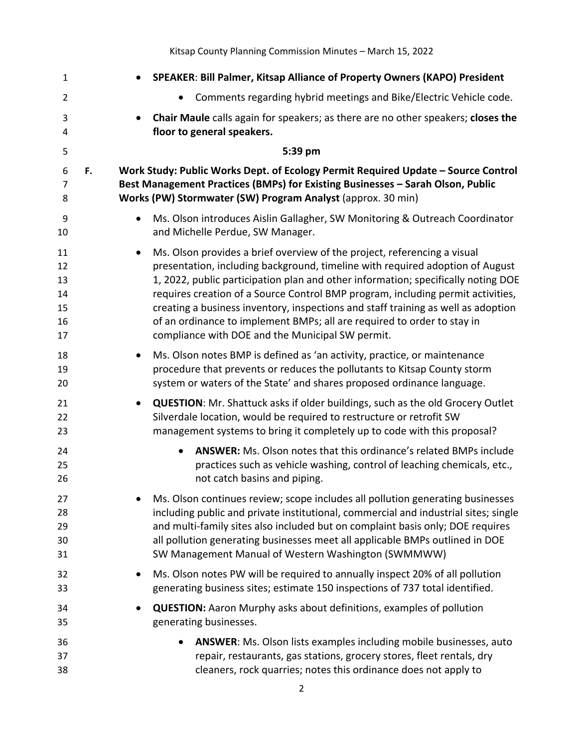Kitsap County Planning Commission Minutes – March 15, 2022

| $\mathbf{1}$                           |           | SPEAKER: Bill Palmer, Kitsap Alliance of Property Owners (KAPO) President                                                                                                                                                                                                                                                                                                                                                                                                                                                                             |
|----------------------------------------|-----------|-------------------------------------------------------------------------------------------------------------------------------------------------------------------------------------------------------------------------------------------------------------------------------------------------------------------------------------------------------------------------------------------------------------------------------------------------------------------------------------------------------------------------------------------------------|
| $\overline{2}$                         |           | Comments regarding hybrid meetings and Bike/Electric Vehicle code.                                                                                                                                                                                                                                                                                                                                                                                                                                                                                    |
| 3<br>4                                 |           | Chair Maule calls again for speakers; as there are no other speakers; closes the<br>floor to general speakers.                                                                                                                                                                                                                                                                                                                                                                                                                                        |
| 5                                      |           | 5:39 pm                                                                                                                                                                                                                                                                                                                                                                                                                                                                                                                                               |
| 6                                      | F.        | Work Study: Public Works Dept. of Ecology Permit Required Update - Source Control                                                                                                                                                                                                                                                                                                                                                                                                                                                                     |
| $\overline{7}$<br>8                    |           | Best Management Practices (BMPs) for Existing Businesses - Sarah Olson, Public<br>Works (PW) Stormwater (SW) Program Analyst (approx. 30 min)                                                                                                                                                                                                                                                                                                                                                                                                         |
| 9<br>10                                | $\bullet$ | Ms. Olson introduces Aislin Gallagher, SW Monitoring & Outreach Coordinator<br>and Michelle Perdue, SW Manager.                                                                                                                                                                                                                                                                                                                                                                                                                                       |
| 11<br>12<br>13<br>14<br>15<br>16<br>17 | $\bullet$ | Ms. Olson provides a brief overview of the project, referencing a visual<br>presentation, including background, timeline with required adoption of August<br>1, 2022, public participation plan and other information; specifically noting DOE<br>requires creation of a Source Control BMP program, including permit activities,<br>creating a business inventory, inspections and staff training as well as adoption<br>of an ordinance to implement BMPs; all are required to order to stay in<br>compliance with DOE and the Municipal SW permit. |
| 18<br>19<br>20                         | $\bullet$ | Ms. Olson notes BMP is defined as 'an activity, practice, or maintenance<br>procedure that prevents or reduces the pollutants to Kitsap County storm<br>system or waters of the State' and shares proposed ordinance language.                                                                                                                                                                                                                                                                                                                        |
| 21<br>22<br>23                         |           | <b>QUESTION:</b> Mr. Shattuck asks if older buildings, such as the old Grocery Outlet<br>Silverdale location, would be required to restructure or retrofit SW<br>management systems to bring it completely up to code with this proposal?                                                                                                                                                                                                                                                                                                             |
| 24<br>25<br>26                         |           | <b>ANSWER:</b> Ms. Olson notes that this ordinance's related BMPs include<br>practices such as vehicle washing, control of leaching chemicals, etc.,<br>not catch basins and piping.                                                                                                                                                                                                                                                                                                                                                                  |
| 27<br>28<br>29<br>30<br>31             |           | Ms. Olson continues review; scope includes all pollution generating businesses<br>including public and private institutional, commercial and industrial sites; single<br>and multi-family sites also included but on complaint basis only; DOE requires<br>all pollution generating businesses meet all applicable BMPs outlined in DOE<br>SW Management Manual of Western Washington (SWMMWW)                                                                                                                                                        |
| 32<br>33                               |           | Ms. Olson notes PW will be required to annually inspect 20% of all pollution<br>generating business sites; estimate 150 inspections of 737 total identified.                                                                                                                                                                                                                                                                                                                                                                                          |
| 34<br>35                               |           | <b>QUESTION:</b> Aaron Murphy asks about definitions, examples of pollution<br>generating businesses.                                                                                                                                                                                                                                                                                                                                                                                                                                                 |
| 36<br>37<br>38                         |           | ANSWER: Ms. Olson lists examples including mobile businesses, auto<br>repair, restaurants, gas stations, grocery stores, fleet rentals, dry<br>cleaners, rock quarries; notes this ordinance does not apply to                                                                                                                                                                                                                                                                                                                                        |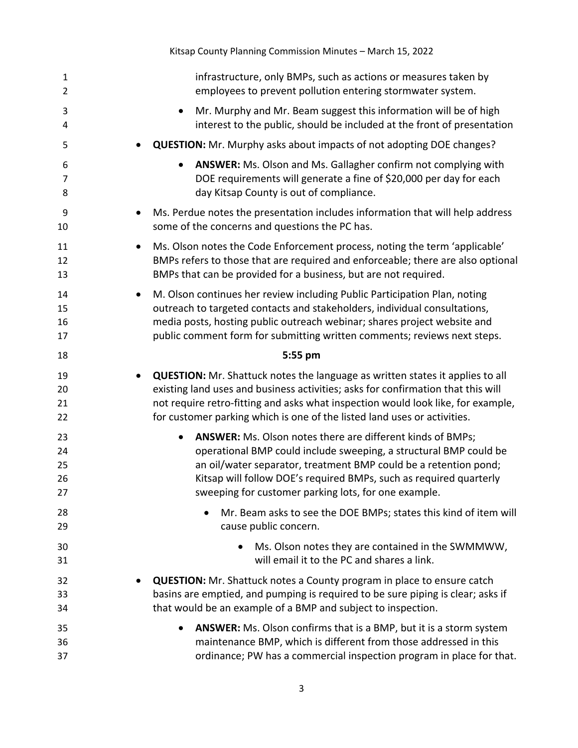|                                | Kitsap County Planning Commission Minutes - March 15, 2022                                                                                                                                                                                                                                                                                            |
|--------------------------------|-------------------------------------------------------------------------------------------------------------------------------------------------------------------------------------------------------------------------------------------------------------------------------------------------------------------------------------------------------|
| $\mathbf{1}$<br>$\overline{2}$ | infrastructure, only BMPs, such as actions or measures taken by<br>employees to prevent pollution entering stormwater system.                                                                                                                                                                                                                         |
| 3<br>4                         | Mr. Murphy and Mr. Beam suggest this information will be of high<br>$\bullet$<br>interest to the public, should be included at the front of presentation                                                                                                                                                                                              |
| 5                              | <b>QUESTION:</b> Mr. Murphy asks about impacts of not adopting DOE changes?                                                                                                                                                                                                                                                                           |
| 6<br>7<br>8                    | ANSWER: Ms. Olson and Ms. Gallagher confirm not complying with<br>DOE requirements will generate a fine of \$20,000 per day for each<br>day Kitsap County is out of compliance.                                                                                                                                                                       |
| 9<br>10                        | Ms. Perdue notes the presentation includes information that will help address<br>$\bullet$<br>some of the concerns and questions the PC has.                                                                                                                                                                                                          |
| 11<br>12<br>13                 | Ms. Olson notes the Code Enforcement process, noting the term 'applicable'<br>$\bullet$<br>BMPs refers to those that are required and enforceable; there are also optional<br>BMPs that can be provided for a business, but are not required.                                                                                                         |
| 14<br>15<br>16<br>17           | M. Olson continues her review including Public Participation Plan, noting<br>$\bullet$<br>outreach to targeted contacts and stakeholders, individual consultations,<br>media posts, hosting public outreach webinar; shares project website and<br>public comment form for submitting written comments; reviews next steps.                           |
| 18                             | 5:55 pm                                                                                                                                                                                                                                                                                                                                               |
| 19<br>20<br>21<br>22           | <b>QUESTION:</b> Mr. Shattuck notes the language as written states it applies to all<br>$\bullet$<br>existing land uses and business activities; asks for confirmation that this will<br>not require retro-fitting and asks what inspection would look like, for example,<br>for customer parking which is one of the listed land uses or activities. |
| 23<br>24<br>25<br>26<br>27     | <b>ANSWER:</b> Ms. Olson notes there are different kinds of BMPs;<br>operational BMP could include sweeping, a structural BMP could be<br>an oil/water separator, treatment BMP could be a retention pond;<br>Kitsap will follow DOE's required BMPs, such as required quarterly<br>sweeping for customer parking lots, for one example.              |
| 28<br>29                       | Mr. Beam asks to see the DOE BMPs; states this kind of item will<br>cause public concern.                                                                                                                                                                                                                                                             |
| 30<br>31                       | Ms. Olson notes they are contained in the SWMMWW,<br>will email it to the PC and shares a link.                                                                                                                                                                                                                                                       |
| 32<br>33<br>34                 | <b>QUESTION:</b> Mr. Shattuck notes a County program in place to ensure catch<br>basins are emptied, and pumping is required to be sure piping is clear; asks if<br>that would be an example of a BMP and subject to inspection.                                                                                                                      |
| 35<br>36<br>37                 | ANSWER: Ms. Olson confirms that is a BMP, but it is a storm system<br>maintenance BMP, which is different from those addressed in this<br>ordinance; PW has a commercial inspection program in place for that.                                                                                                                                        |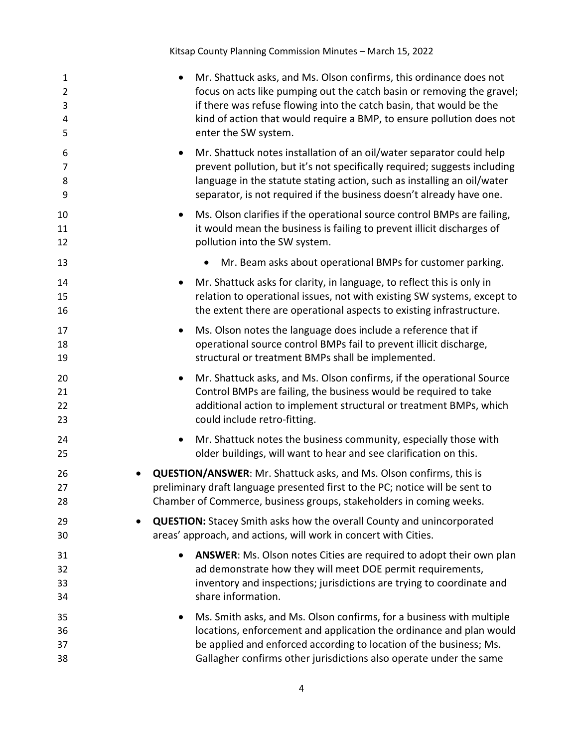Kitsap County Planning Commission Minutes – March 15, 2022

| $\mathbf{1}$<br>$\overline{2}$<br>3<br>4<br>5 | Mr. Shattuck asks, and Ms. Olson confirms, this ordinance does not<br>$\bullet$<br>focus on acts like pumping out the catch basin or removing the gravel;<br>if there was refuse flowing into the catch basin, that would be the<br>kind of action that would require a BMP, to ensure pollution does not<br>enter the SW system. |
|-----------------------------------------------|-----------------------------------------------------------------------------------------------------------------------------------------------------------------------------------------------------------------------------------------------------------------------------------------------------------------------------------|
| 6<br>7<br>8<br>9                              | Mr. Shattuck notes installation of an oil/water separator could help<br>$\bullet$<br>prevent pollution, but it's not specifically required; suggests including<br>language in the statute stating action, such as installing an oil/water<br>separator, is not required if the business doesn't already have one.                 |
| 10<br>11<br>12                                | Ms. Olson clarifies if the operational source control BMPs are failing,<br>$\bullet$<br>it would mean the business is failing to prevent illicit discharges of<br>pollution into the SW system.                                                                                                                                   |
| 13                                            | Mr. Beam asks about operational BMPs for customer parking.                                                                                                                                                                                                                                                                        |
| 14<br>15<br>16                                | Mr. Shattuck asks for clarity, in language, to reflect this is only in<br>relation to operational issues, not with existing SW systems, except to<br>the extent there are operational aspects to existing infrastructure.                                                                                                         |
| 17<br>18<br>19                                | Ms. Olson notes the language does include a reference that if<br>$\bullet$<br>operational source control BMPs fail to prevent illicit discharge,<br>structural or treatment BMPs shall be implemented.                                                                                                                            |
| 20<br>21<br>22<br>23                          | Mr. Shattuck asks, and Ms. Olson confirms, if the operational Source<br>$\bullet$<br>Control BMPs are failing, the business would be required to take<br>additional action to implement structural or treatment BMPs, which<br>could include retro-fitting.                                                                       |
| 24<br>25                                      | Mr. Shattuck notes the business community, especially those with<br>older buildings, will want to hear and see clarification on this.                                                                                                                                                                                             |
| 26<br>27<br>28                                | <b>QUESTION/ANSWER:</b> Mr. Shattuck asks, and Ms. Olson confirms, this is<br>preliminary draft language presented first to the PC; notice will be sent to<br>Chamber of Commerce, business groups, stakeholders in coming weeks.                                                                                                 |
| 29<br>30                                      | <b>QUESTION:</b> Stacey Smith asks how the overall County and unincorporated<br>$\bullet$<br>areas' approach, and actions, will work in concert with Cities.                                                                                                                                                                      |
| 31<br>32<br>33<br>34                          | ANSWER: Ms. Olson notes Cities are required to adopt their own plan<br>$\bullet$<br>ad demonstrate how they will meet DOE permit requirements,<br>inventory and inspections; jurisdictions are trying to coordinate and<br>share information.                                                                                     |
| 35<br>36<br>37<br>38                          | Ms. Smith asks, and Ms. Olson confirms, for a business with multiple<br>٠<br>locations, enforcement and application the ordinance and plan would<br>be applied and enforced according to location of the business; Ms.<br>Gallagher confirms other jurisdictions also operate under the same                                      |